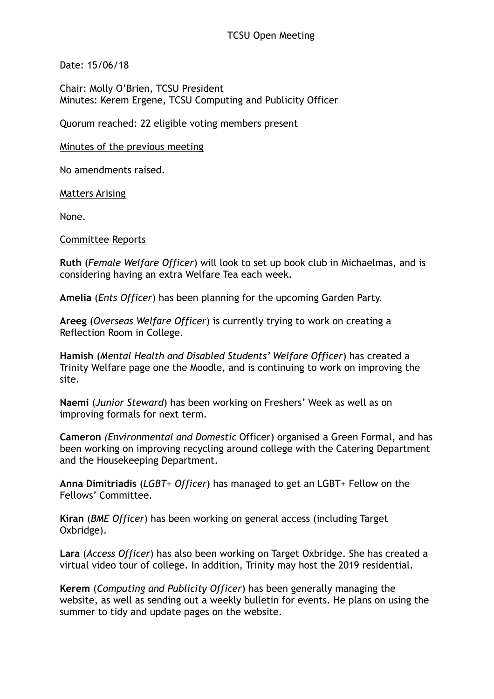Date: 15/06/18

Chair: Molly O'Brien, TCSU President Minutes: Kerem Ergene, TCSU Computing and Publicity Officer

Quorum reached: 22 eligible voting members present

Minutes of the previous meeting

No amendments raised.

Matters Arising

None.

Committee Reports

**Ruth** (*Female Welfare Officer*) will look to set up book club in Michaelmas, and is considering having an extra Welfare Tea each week.

**Amelia** (*Ents Officer*) has been planning for the upcoming Garden Party.

**Areeg** (*Overseas Welfare Officer*) is currently trying to work on creating a Reflection Room in College.

**Hamish** (*Mental Health and Disabled Students' Welfare Officer*) has created a Trinity Welfare page one the Moodle, and is continuing to work on improving the site.

**Naemi** (*Junior Steward*) has been working on Freshers' Week as well as on improving formals for next term.

**Cameron** *(Environmental and Domestic* Officer) organised a Green Formal, and has been working on improving recycling around college with the Catering Department and the Housekeeping Department.

**Anna Dimitriadis** (*LGBT+ Officer*) has managed to get an LGBT+ Fellow on the Fellows' Committee.

**Kiran** (*BME Officer*) has been working on general access (including Target Oxbridge).

**Lara** (*Access Officer*) has also been working on Target Oxbridge. She has created a virtual video tour of college. In addition, Trinity may host the 2019 residential.

**Kerem** (*Computing and Publicity Officer*) has been generally managing the website, as well as sending out a weekly bulletin for events. He plans on using the summer to tidy and update pages on the website.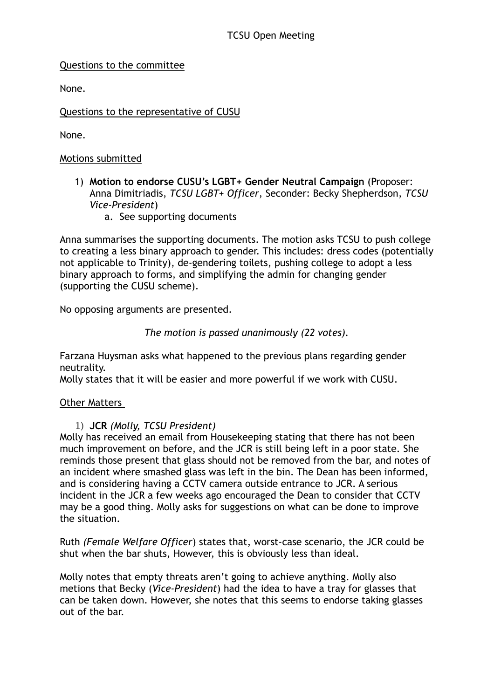# Questions to the committee

None.

Questions to the representative of CUSU

None.

# Motions submitted

- 1) **Motion to endorse CUSU's LGBT+ Gender Neutral Campaign** (Proposer: Anna Dimitriadis, *TCSU LGBT+ Officer*, Seconder: Becky Shepherdson, *TCSU Vice-President*)
	- a. See supporting documents

Anna summarises the supporting documents. The motion asks TCSU to push college to creating a less binary approach to gender. This includes: dress codes (potentially not applicable to Trinity), de-gendering toilets, pushing college to adopt a less binary approach to forms, and simplifying the admin for changing gender (supporting the CUSU scheme).

No opposing arguments are presented.

*The motion is passed unanimously (22 votes).*

Farzana Huysman asks what happened to the previous plans regarding gender neutrality.

Molly states that it will be easier and more powerful if we work with CUSU.

# Other Matters

# 1) **JCR** *(Molly, TCSU President)*

Molly has received an email from Housekeeping stating that there has not been much improvement on before, and the JCR is still being left in a poor state. She reminds those present that glass should not be removed from the bar, and notes of an incident where smashed glass was left in the bin. The Dean has been informed, and is considering having a CCTV camera outside entrance to JCR. A serious incident in the JCR a few weeks ago encouraged the Dean to consider that CCTV may be a good thing. Molly asks for suggestions on what can be done to improve the situation.

Ruth *(Female Welfare Officer*) states that, worst-case scenario, the JCR could be shut when the bar shuts, However, this is obviously less than ideal.

Molly notes that empty threats aren't going to achieve anything. Molly also metions that Becky (*Vice-President*) had the idea to have a tray for glasses that can be taken down. However, she notes that this seems to endorse taking glasses out of the bar.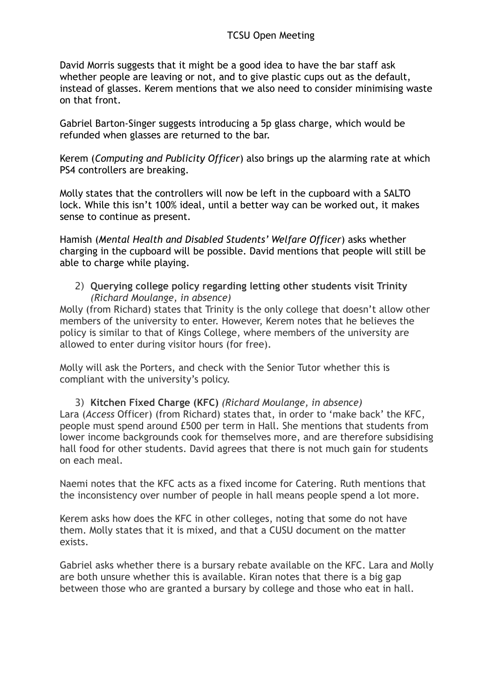David Morris suggests that it might be a good idea to have the bar staff ask whether people are leaving or not, and to give plastic cups out as the default, instead of glasses. Kerem mentions that we also need to consider minimising waste on that front.

Gabriel Barton-Singer suggests introducing a 5p glass charge, which would be refunded when glasses are returned to the bar.

Kerem (*Computing and Publicity Officer*) also brings up the alarming rate at which PS4 controllers are breaking.

Molly states that the controllers will now be left in the cupboard with a SALTO lock. While this isn't 100% ideal, until a better way can be worked out, it makes sense to continue as present.

Hamish (*Mental Health and Disabled Students' Welfare Officer*) asks whether charging in the cupboard will be possible. David mentions that people will still be able to charge while playing.

2) **Querying college policy regarding letting other students visit Trinity**  *(Richard Moulange, in absence)* 

Molly (from Richard) states that Trinity is the only college that doesn't allow other members of the university to enter. However, Kerem notes that he believes the policy is similar to that of Kings College, where members of the university are allowed to enter during visitor hours (for free).

Molly will ask the Porters, and check with the Senior Tutor whether this is compliant with the university's policy.

3) **Kitchen Fixed Charge (KFC)** *(Richard Moulange, in absence)*  Lara (*Access* Officer) (from Richard) states that, in order to 'make back' the KFC, people must spend around £500 per term in Hall. She mentions that students from lower income backgrounds cook for themselves more, and are therefore subsidising hall food for other students. David agrees that there is not much gain for students on each meal.

Naemi notes that the KFC acts as a fixed income for Catering. Ruth mentions that the inconsistency over number of people in hall means people spend a lot more.

Kerem asks how does the KFC in other colleges, noting that some do not have them. Molly states that it is mixed, and that a CUSU document on the matter exists.

Gabriel asks whether there is a bursary rebate available on the KFC. Lara and Molly are both unsure whether this is available. Kiran notes that there is a big gap between those who are granted a bursary by college and those who eat in hall.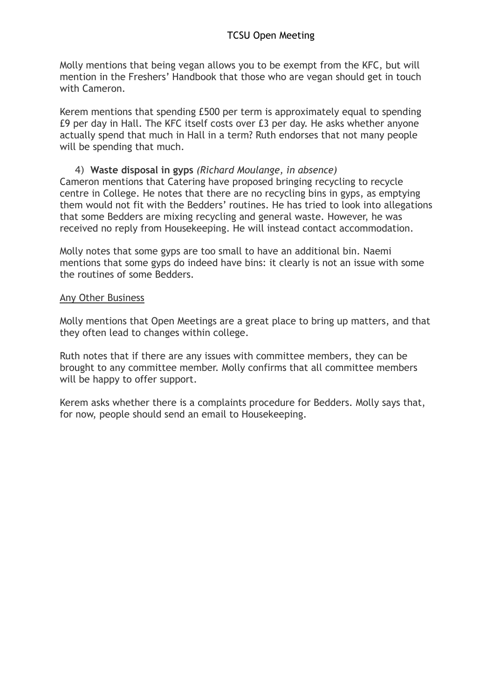# **TCSU Open Meeting**

Molly mentions that being vegan allows you to be exempt from the KFC, but will mention in the Freshers' Handbook that those who are vegan should get in touch with Cameron.

Kerem mentions that spending £500 per term is approximately equal to spending £9 per day in Hall. The KFC itself costs over £3 per day. He asks whether anyone actually spend that much in Hall in a term? Ruth endorses that not many people will be spending that much.

### 4) **Waste disposal in gyps** *(Richard Moulange, in absence)*

Cameron mentions that Catering have proposed bringing recycling to recycle centre in College. He notes that there are no recycling bins in gyps, as emptying them would not fit with the Bedders' routines. He has tried to look into allegations that some Bedders are mixing recycling and general waste. However, he was received no reply from Housekeeping. He will instead contact accommodation.

Molly notes that some gyps are too small to have an additional bin. Naemi mentions that some gyps do indeed have bins: it clearly is not an issue with some the routines of some Bedders.

### Any Other Business

Molly mentions that Open Meetings are a great place to bring up matters, and that they often lead to changes within college.

Ruth notes that if there are any issues with committee members, they can be brought to any committee member. Molly confirms that all committee members will be happy to offer support.

Kerem asks whether there is a complaints procedure for Bedders. Molly says that, for now, people should send an email to Housekeeping.